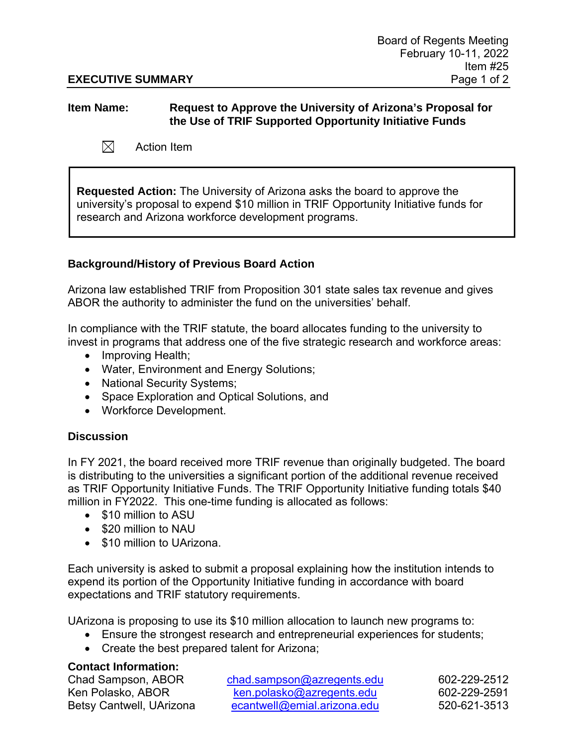# **EXECUTIVE SUMMARY** Page 1 of 2

## **Item Name: Request to Approve the University of Arizona's Proposal for the Use of TRIF Supported Opportunity Initiative Funds**

 $\boxtimes$ Action Item

**Requested Action:** The University of Arizona asks the board to approve the university's proposal to expend \$10 million in TRIF Opportunity Initiative funds for research and Arizona workforce development programs.

# **Background/History of Previous Board Action**

Arizona law established TRIF from Proposition 301 state sales tax revenue and gives ABOR the authority to administer the fund on the universities' behalf.

In compliance with the TRIF statute, the board allocates funding to the university to invest in programs that address one of the five strategic research and workforce areas:

- Improving Health;
- Water, Environment and Energy Solutions;
- National Security Systems;
- Space Exploration and Optical Solutions, and
- Workforce Development.

# **Discussion**

In FY 2021, the board received more TRIF revenue than originally budgeted. The board is distributing to the universities a significant portion of the additional revenue received as TRIF Opportunity Initiative Funds. The TRIF Opportunity Initiative funding totals \$40 million in FY2022. This one-time funding is allocated as follows:

- \$10 million to ASU
- \$20 million to NAU
- \$10 million to UArizona.

Each university is asked to submit a proposal explaining how the institution intends to expend its portion of the Opportunity Initiative funding in accordance with board expectations and TRIF statutory requirements.

UArizona is proposing to use its \$10 million allocation to launch new programs to:

- Ensure the strongest research and entrepreneurial experiences for students;
- Create the best prepared talent for Arizona;

# **Contact Information:**

Chad Sampson, ABOR [chad.sampson@azregents.edu](mailto:chad.sampson@azregents.edu) 602-229-2512 Ken Polasko, ABOR [ken.polasko@azregents.edu](mailto:ken.polasko@azregents.edu) 602-229-2591 Betsy Cantwell, UArizona [ecantwell@emial.arizona.edu](mailto:ecantwell@emial.arizona.edu) 520-621-3513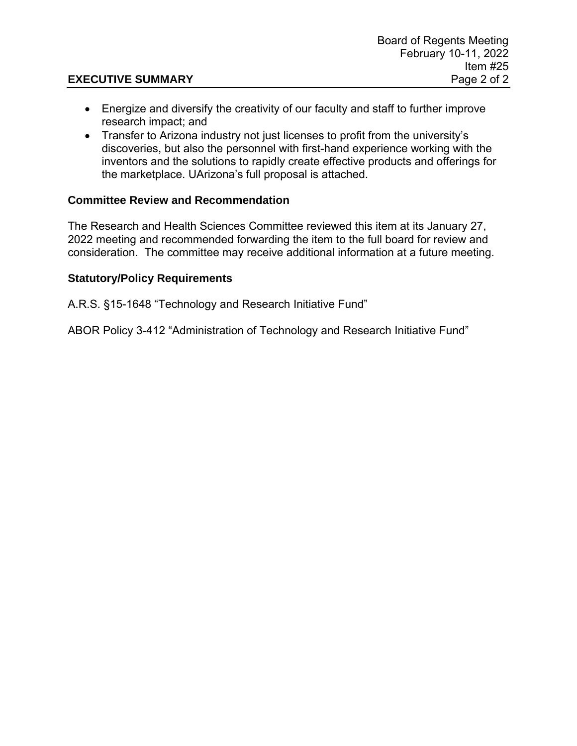# **EXECUTIVE SUMMARY** Page 2 of 2

- Energize and diversify the creativity of our faculty and staff to further improve research impact; and
- Transfer to Arizona industry not just licenses to profit from the university's discoveries, but also the personnel with first-hand experience working with the inventors and the solutions to rapidly create effective products and offerings for the marketplace. UArizona's full proposal is attached.

# **Committee Review and Recommendation**

The Research and Health Sciences Committee reviewed this item at its January 27, 2022 meeting and recommended forwarding the item to the full board for review and consideration. The committee may receive additional information at a future meeting.

# **Statutory/Policy Requirements**

A.R.S. §15-1648 "Technology and Research Initiative Fund"

ABOR Policy 3-412 "Administration of Technology and Research Initiative Fund"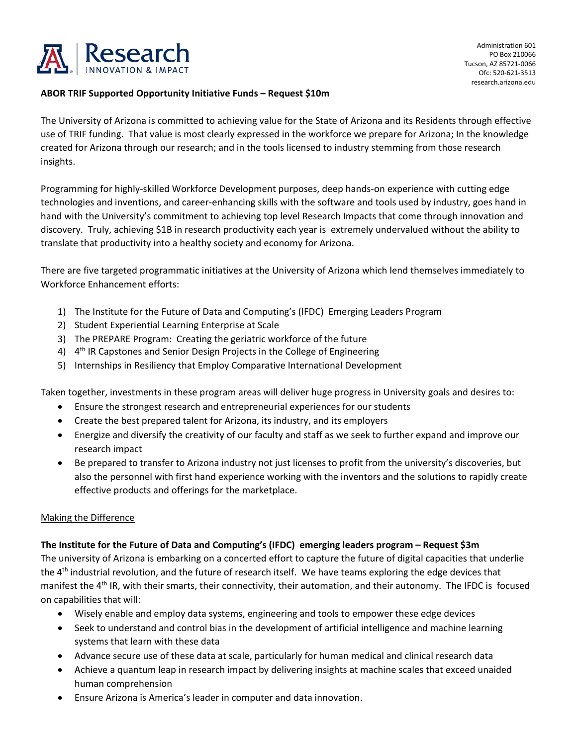

#### **ABOR TRIF Supported Opportunity Initiative Funds – Request \$10m**

The University of Arizona is committed to achieving value for the State of Arizona and its Residents through effective use of TRIF funding. That value is most clearly expressed in the workforce we prepare for Arizona; In the knowledge created for Arizona through our research; and in the tools licensed to industry stemming from those research insights.

Programming for highly-skilled Workforce Development purposes, deep hands-on experience with cutting edge technologies and inventions, and career-enhancing skills with the software and tools used by industry, goes hand in hand with the University's commitment to achieving top level Research Impacts that come through innovation and discovery. Truly, achieving \$1B in research productivity each year is extremely undervalued without the ability to translate that productivity into a healthy society and economy for Arizona.

There are five targeted programmatic initiatives at the University of Arizona which lend themselves immediately to Workforce Enhancement efforts:

- 1) The Institute for the Future of Data and Computing's (IFDC) Emerging Leaders Program
- 2) Student Experiential Learning Enterprise at Scale
- 3) The PREPARE Program: Creating the geriatric workforce of the future
- 4) 4<sup>th</sup> IR Capstones and Senior Design Projects in the College of Engineering
- 5) Internships in Resiliency that Employ Comparative International Development

Taken together, investments in these program areas will deliver huge progress in University goals and desires to:

- Ensure the strongest research and entrepreneurial experiences for our students
- Create the best prepared talent for Arizona, its industry, and its employers
- Energize and diversify the creativity of our faculty and staff as we seek to further expand and improve our research impact
- Be prepared to transfer to Arizona industry not just licenses to profit from the university's discoveries, but also the personnel with first hand experience working with the inventors and the solutions to rapidly create effective products and offerings for the marketplace.

#### Making the Difference

#### **The Institute for the Future of Data and Computing's (IFDC) emerging leaders program – Request \$3m**

The university of Arizona is embarking on a concerted effort to capture the future of digital capacities that underlie the 4<sup>th</sup> industrial revolution, and the future of research itself. We have teams exploring the edge devices that manifest the 4<sup>th</sup> IR, with their smarts, their connectivity, their automation, and their autonomy. The IFDC is focused on capabilities that will:

- Wisely enable and employ data systems, engineering and tools to empower these edge devices
- Seek to understand and control bias in the development of artificial intelligence and machine learning systems that learn with these data
- Advance secure use of these data at scale, particularly for human medical and clinical research data
- Achieve a quantum leap in research impact by delivering insights at machine scales that exceed unaided human comprehension
- Ensure Arizona is America's leader in computer and data innovation.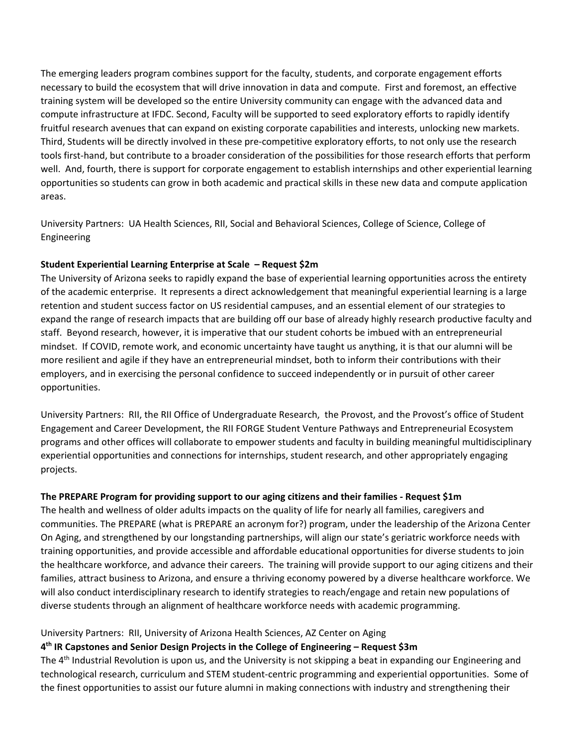The emerging leaders program combines support for the faculty, students, and corporate engagement efforts necessary to build the ecosystem that will drive innovation in data and compute. First and foremost, an effective training system will be developed so the entire University community can engage with the advanced data and compute infrastructure at IFDC. Second, Faculty will be supported to seed exploratory efforts to rapidly identify fruitful research avenues that can expand on existing corporate capabilities and interests, unlocking new markets. Third, Students will be directly involved in these pre-competitive exploratory efforts, to not only use the research tools first-hand, but contribute to a broader consideration of the possibilities for those research efforts that perform well. And, fourth, there is support for corporate engagement to establish internships and other experiential learning opportunities so students can grow in both academic and practical skills in these new data and compute application areas.

University Partners: UA Health Sciences, RII, Social and Behavioral Sciences, College of Science, College of Engineering

#### **Student Experiential Learning Enterprise at Scale – Request \$2m**

The University of Arizona seeks to rapidly expand the base of experiential learning opportunities across the entirety of the academic enterprise. It represents a direct acknowledgement that meaningful experiential learning is a large retention and student success factor on US residential campuses, and an essential element of our strategies to expand the range of research impacts that are building off our base of already highly research productive faculty and staff. Beyond research, however, it is imperative that our student cohorts be imbued with an entrepreneurial mindset. If COVID, remote work, and economic uncertainty have taught us anything, it is that our alumni will be more resilient and agile if they have an entrepreneurial mindset, both to inform their contributions with their employers, and in exercising the personal confidence to succeed independently or in pursuit of other career opportunities.

University Partners: RII, the RII Office of Undergraduate Research, the Provost, and the Provost's office of Student Engagement and Career Development, the RII FORGE Student Venture Pathways and Entrepreneurial Ecosystem programs and other offices will collaborate to empower students and faculty in building meaningful multidisciplinary experiential opportunities and connections for internships, student research, and other appropriately engaging projects.

## **The PREPARE Program for providing support to our aging citizens and their families - Request \$1m**

The health and wellness of older adults impacts on the quality of life for nearly all families, caregivers and communities. The PREPARE (what is PREPARE an acronym for?) program, under the leadership of the Arizona Center On Aging, and strengthened by our longstanding partnerships, will align our state's geriatric workforce needs with training opportunities, and provide accessible and affordable educational opportunities for diverse students to join the healthcare workforce, and advance their careers. The training will provide support to our aging citizens and their families, attract business to Arizona, and ensure a thriving economy powered by a diverse healthcare workforce. We will also conduct interdisciplinary research to identify strategies to reach/engage and retain new populations of diverse students through an alignment of healthcare workforce needs with academic programming.

## University Partners: RII, University of Arizona Health Sciences, AZ Center on Aging

## **4th IR Capstones and Senior Design Projects in the College of Engineering – Request \$3m**

The  $4<sup>th</sup>$  Industrial Revolution is upon us, and the University is not skipping a beat in expanding our Engineering and technological research, curriculum and STEM student-centric programming and experiential opportunities. Some of the finest opportunities to assist our future alumni in making connections with industry and strengthening their